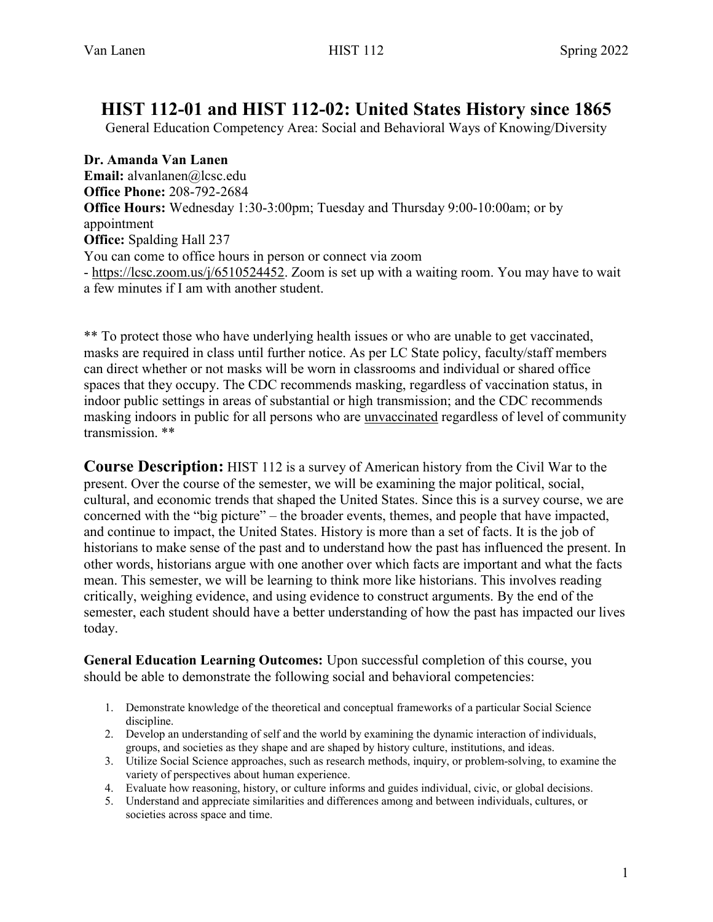# **HIST 112-01 and HIST 112-02: United States History since 1865**

General Education Competency Area: Social and Behavioral Ways of Knowing/Diversity

**Dr. Amanda Van Lanen Email:** alvanlanen@lcsc.edu **Office Phone:** 208-792-2684 **Office Hours:** Wednesday 1:30-3:00pm; Tuesday and Thursday 9:00-10:00am; or by appointment **Office:** Spalding Hall 237 You can come to office hours in person or connect via zoom - [https://lcsc.zoom.us/j/6510524452.](https://lcsc.zoom.us/j/6510524452) Zoom is set up with a waiting room. You may have to wait a few minutes if I am with another student.

\*\* To protect those who have underlying health issues or who are unable to get vaccinated, masks are required in class until further notice. As per LC State policy, faculty/staff members can direct whether or not masks will be worn in classrooms and individual or shared office spaces that they occupy. The CDC recommends masking, regardless of vaccination status, in indoor public settings in areas of substantial or high transmission; and the CDC recommends masking indoors in public for all persons who are unvaccinated regardless of level of community transmission. \*\*

**Course Description:** HIST 112 is a survey of American history from the Civil War to the present. Over the course of the semester, we will be examining the major political, social, cultural, and economic trends that shaped the United States. Since this is a survey course, we are concerned with the "big picture" – the broader events, themes, and people that have impacted, and continue to impact, the United States. History is more than a set of facts. It is the job of historians to make sense of the past and to understand how the past has influenced the present. In other words, historians argue with one another over which facts are important and what the facts mean. This semester, we will be learning to think more like historians. This involves reading critically, weighing evidence, and using evidence to construct arguments. By the end of the semester, each student should have a better understanding of how the past has impacted our lives today.

**General Education Learning Outcomes:** Upon successful completion of this course, you should be able to demonstrate the following social and behavioral competencies:

- 1. Demonstrate knowledge of the theoretical and conceptual frameworks of a particular Social Science discipline.
- 2. Develop an understanding of self and the world by examining the dynamic interaction of individuals, groups, and societies as they shape and are shaped by history culture, institutions, and ideas.
- 3. Utilize Social Science approaches, such as research methods, inquiry, or problem-solving, to examine the variety of perspectives about human experience.
- 4. Evaluate how reasoning, history, or culture informs and guides individual, civic, or global decisions.
- 5. Understand and appreciate similarities and differences among and between individuals, cultures, or societies across space and time.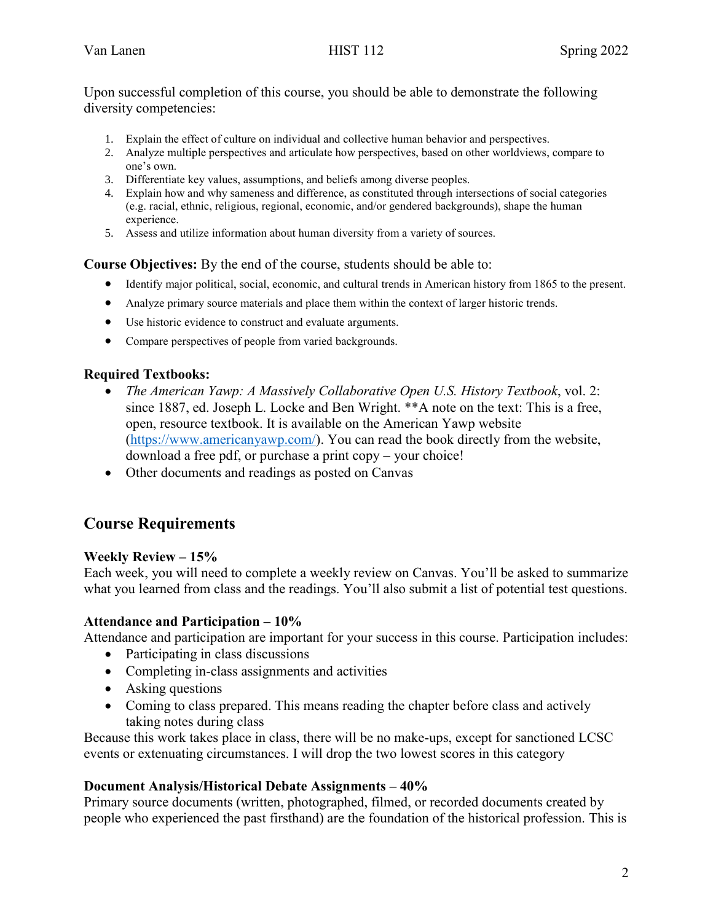Upon successful completion of this course, you should be able to demonstrate the following diversity competencies:

- 1. Explain the effect of culture on individual and collective human behavior and perspectives.
- 2. Analyze multiple perspectives and articulate how perspectives, based on other worldviews, compare to one's own.
- 3. Differentiate key values, assumptions, and beliefs among diverse peoples.
- 4. Explain how and why sameness and difference, as constituted through intersections of social categories (e.g. racial, ethnic, religious, regional, economic, and/or gendered backgrounds), shape the human experience.
- 5. Assess and utilize information about human diversity from a variety of sources.

**Course Objectives:** By the end of the course, students should be able to:

- Identify major political, social, economic, and cultural trends in American history from 1865 to the present.
- Analyze primary source materials and place them within the context of larger historic trends.
- Use historic evidence to construct and evaluate arguments.
- Compare perspectives of people from varied backgrounds.

#### **Required Textbooks:**

- *The American Yawp: A Massively Collaborative Open U.S. History Textbook*, vol. 2: since 1887, ed. Joseph L. Locke and Ben Wright. \*\*A note on the text: This is a free, open, resource textbook. It is available on the American Yawp website [\(https://www.americanyawp.com/\)](https://www.americanyawp.com/). You can read the book directly from the website, download a free pdf, or purchase a print copy – your choice!
- Other documents and readings as posted on Canvas

# **Course Requirements**

#### **Weekly Review – 15%**

Each week, you will need to complete a weekly review on Canvas. You'll be asked to summarize what you learned from class and the readings. You'll also submit a list of potential test questions.

#### **Attendance and Participation – 10%**

Attendance and participation are important for your success in this course. Participation includes:

- Participating in class discussions
- Completing in-class assignments and activities
- Asking questions
- Coming to class prepared. This means reading the chapter before class and actively taking notes during class

Because this work takes place in class, there will be no make-ups, except for sanctioned LCSC events or extenuating circumstances. I will drop the two lowest scores in this category

#### **Document Analysis/Historical Debate Assignments – 40%**

Primary source documents (written, photographed, filmed, or recorded documents created by people who experienced the past firsthand) are the foundation of the historical profession. This is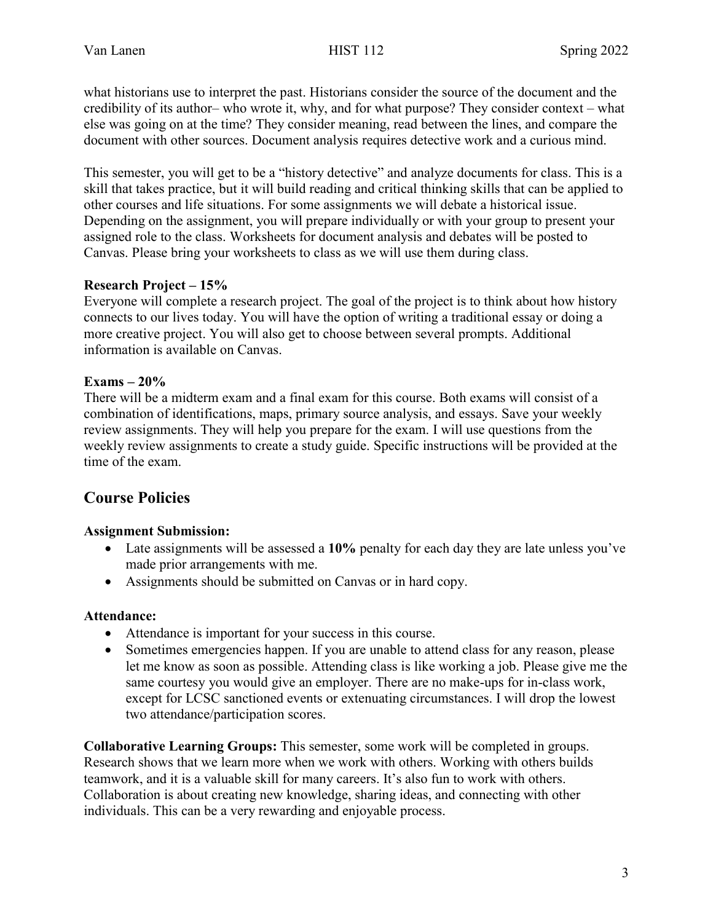what historians use to interpret the past. Historians consider the source of the document and the credibility of its author– who wrote it, why, and for what purpose? They consider context – what else was going on at the time? They consider meaning, read between the lines, and compare the document with other sources. Document analysis requires detective work and a curious mind.

This semester, you will get to be a "history detective" and analyze documents for class. This is a skill that takes practice, but it will build reading and critical thinking skills that can be applied to other courses and life situations. For some assignments we will debate a historical issue. Depending on the assignment, you will prepare individually or with your group to present your assigned role to the class. Worksheets for document analysis and debates will be posted to Canvas. Please bring your worksheets to class as we will use them during class.

#### **Research Project – 15%**

Everyone will complete a research project. The goal of the project is to think about how history connects to our lives today. You will have the option of writing a traditional essay or doing a more creative project. You will also get to choose between several prompts. Additional information is available on Canvas.

## **Exams – 20%**

There will be a midterm exam and a final exam for this course. Both exams will consist of a combination of identifications, maps, primary source analysis, and essays. Save your weekly review assignments. They will help you prepare for the exam. I will use questions from the weekly review assignments to create a study guide. Specific instructions will be provided at the time of the exam.

# **Course Policies**

## **Assignment Submission:**

- Late assignments will be assessed a 10% penalty for each day they are late unless you've made prior arrangements with me.
- Assignments should be submitted on Canvas or in hard copy.

#### **Attendance:**

- Attendance is important for your success in this course.
- Sometimes emergencies happen. If you are unable to attend class for any reason, please let me know as soon as possible. Attending class is like working a job. Please give me the same courtesy you would give an employer. There are no make-ups for in-class work, except for LCSC sanctioned events or extenuating circumstances. I will drop the lowest two attendance/participation scores.

**Collaborative Learning Groups:** This semester, some work will be completed in groups. Research shows that we learn more when we work with others. Working with others builds teamwork, and it is a valuable skill for many careers. It's also fun to work with others. Collaboration is about creating new knowledge, sharing ideas, and connecting with other individuals. This can be a very rewarding and enjoyable process.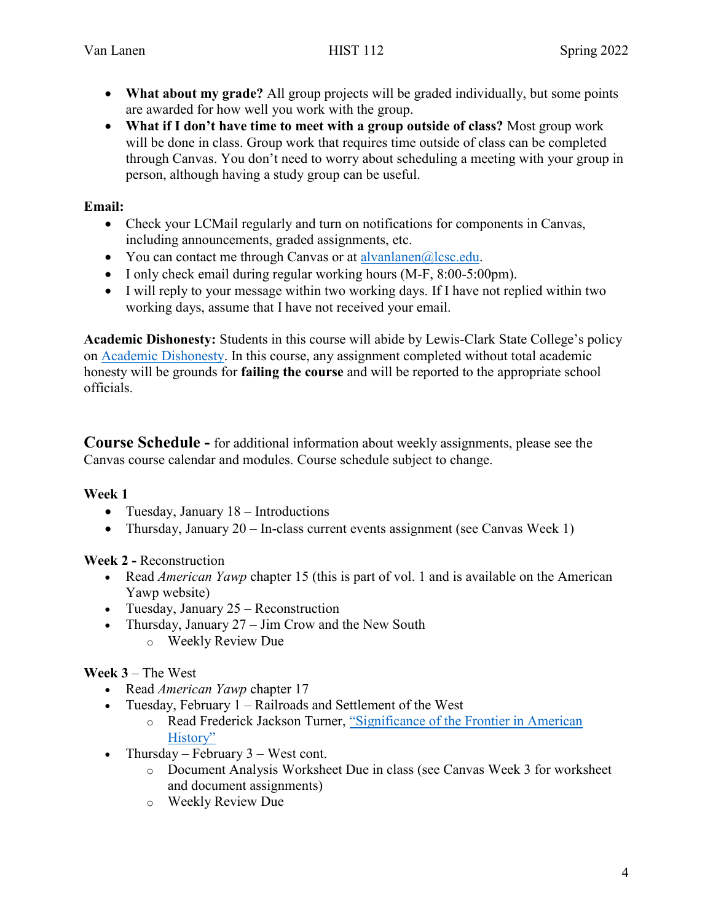- **What about my grade?** All group projects will be graded individually, but some points are awarded for how well you work with the group.
- **What if I don't have time to meet with a group outside of class?** Most group work will be done in class. Group work that requires time outside of class can be completed through Canvas. You don't need to worry about scheduling a meeting with your group in person, although having a study group can be useful.

#### **Email:**

- Check your LCMail regularly and turn on notifications for components in Canvas, including announcements, graded assignments, etc.
- You can contact me through Canvas or at  $\alpha$  alvanlanen $\alpha$ lcsc.edu.
- I only check email during regular working hours (M-F, 8:00-5:00pm).
- I will reply to your message within two working days. If I have not replied within two working days, assume that I have not received your email.

**Academic Dishonesty:** Students in this course will abide by Lewis-Clark State College's policy on [Academic Dishonesty.](https://www.lcsc.edu/student-affairs/student-code-of-conduct/prohibited-conduct) In this course, any assignment completed without total academic honesty will be grounds for **failing the course** and will be reported to the appropriate school officials.

**Course Schedule -** for additional information about weekly assignments, please see the Canvas course calendar and modules. Course schedule subject to change.

## **Week 1**

- Tuesday, January 18 Introductions
- Thursday, January 20 In-class current events assignment (see Canvas Week 1)

## **Week 2 -** Reconstruction

- Read *American Yawp* chapter 15 (this is part of vol. 1 and is available on the American Yawp website)
- Tuesday, January 25 Reconstruction
- Thursday, January  $27 \text{Jim}$  Crow and the New South
	- o Weekly Review Due

# **Week 3** – The West

- Read *American Yawp* chapter 17
- Tuesday, February 1 Railroads and Settlement of the West
	- o Read Frederick Jackson Turner, ["Significance of the Frontier in American](http://www.americanyawp.com/reader/17-conquering-the-west/frederick-jackson-turner-significance-of-the-frontier-in-american-history-1893/)  [History"](http://www.americanyawp.com/reader/17-conquering-the-west/frederick-jackson-turner-significance-of-the-frontier-in-american-history-1893/)
- Thursday February  $3$  West cont.
	- o Document Analysis Worksheet Due in class (see Canvas Week 3 for worksheet and document assignments)
	- o Weekly Review Due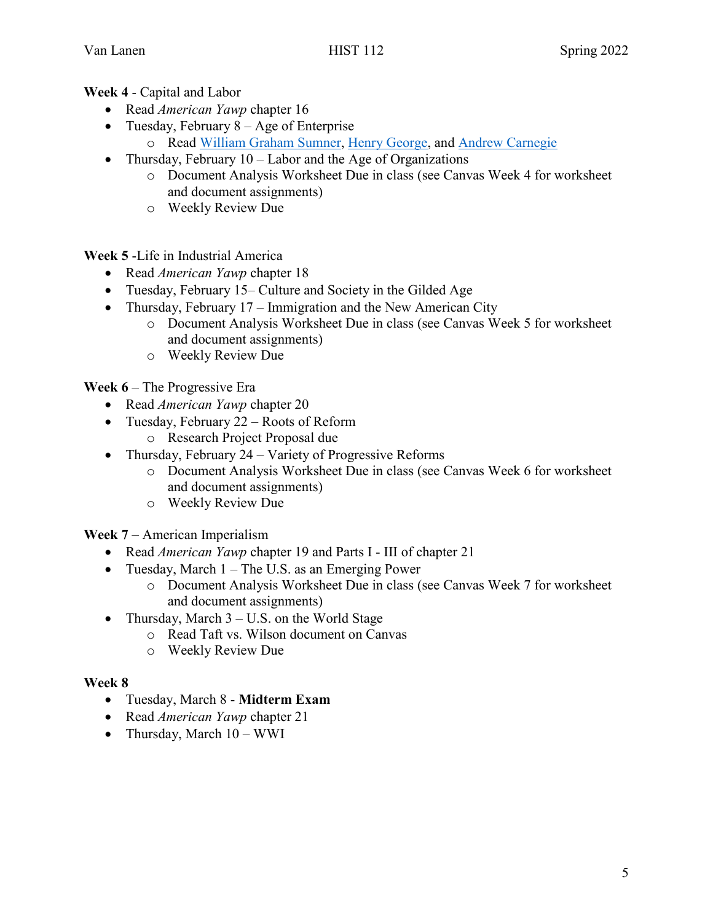#### **Week 4** - Capital and Labor

- Read *American Yawp* chapter 16
- Tuesday, February  $8 Age$  of Enterprise
	- o Read [William Graham Sumner,](http://www.americanyawp.com/reader/16-capital-and-labor/william-graham-sumner-on-social-darwnism-ca-1880s/) [Henry George,](http://www.americanyawp.com/reader/16-capital-and-labor/henry-george-progress-and-poverty-selections-1879/) and [Andrew Carnegie](http://www.americanyawp.com/reader/16-capital-and-labor/andrew-carnegies-gospel-of-wealth-june-1889/)
- Thursday, February  $10 -$ Labor and the Age of Organizations
	- o Document Analysis Worksheet Due in class (see Canvas Week 4 for worksheet and document assignments)
	- o Weekly Review Due

**Week 5** -Life in Industrial America

- Read *American Yawp* chapter 18
- Tuesday, February 15– Culture and Society in the Gilded Age
- Thursday, February 17 Immigration and the New American City
	- o Document Analysis Worksheet Due in class (see Canvas Week 5 for worksheet and document assignments)
	- o Weekly Review Due

**Week 6** – The Progressive Era

- Read *American Yawp* chapter 20
- Tuesday, February 22 Roots of Reform
	- o Research Project Proposal due
- Thursday, February 24 Variety of Progressive Reforms
	- o Document Analysis Worksheet Due in class (see Canvas Week 6 for worksheet and document assignments)
	- o Weekly Review Due

**Week 7** – American Imperialism

- Read *American Yawp* chapter 19 and Parts I III of chapter 21
- Tuesday, March 1 The U.S. as an Emerging Power
	- o Document Analysis Worksheet Due in class (see Canvas Week 7 for worksheet and document assignments)
- Thursday, March 3 U.S. on the World Stage
	- o Read Taft vs. Wilson document on Canvas
	- o Weekly Review Due

#### **Week 8**

- Tuesday, March 8 **Midterm Exam**
- Read *American Yawp* chapter 21
- Thursday, March 10 WWI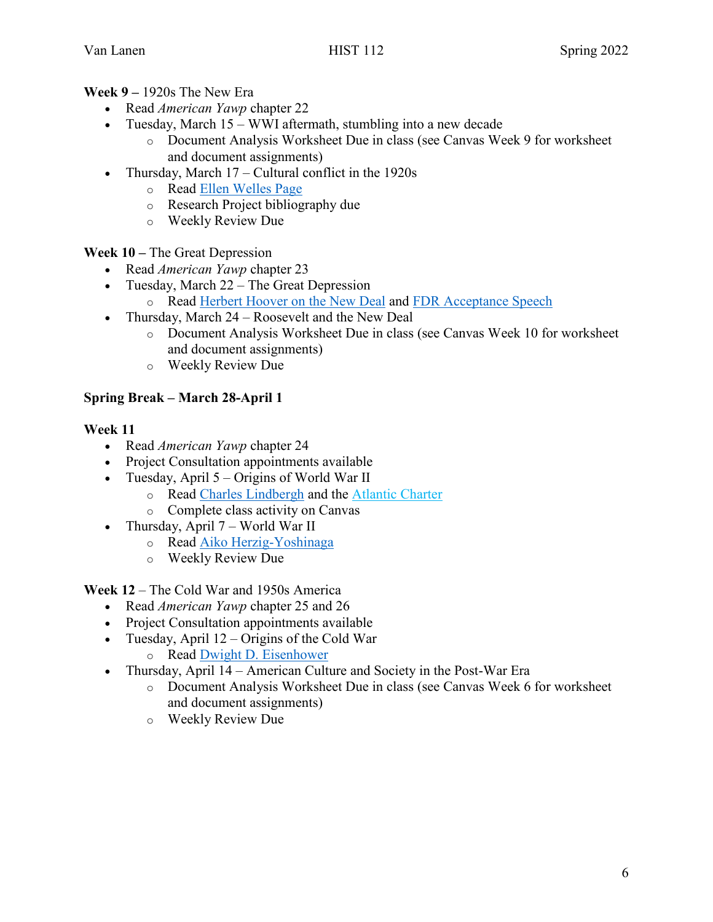#### **Week 9 –** 1920s The New Era

- Read *American Yawp* chapter 22
- Tuesday, March 15 WWI aftermath, stumbling into a new decade
	- o Document Analysis Worksheet Due in class (see Canvas Week 9 for worksheet and document assignments)
- Thursday, March 17 Cultural conflict in the 1920s
	- o Read [Ellen Welles Page](http://www.americanyawp.com/reader/22-the-new-era/ellen-welles-page-a-flappers-appeal-to-parents-1922/)
	- o Research Project bibliography due
	- o Weekly Review Due

**Week 10 –** The Great Depression

- Read *American Yawp* chapter 23
- Tuesday, March 22 The Great Depression
	- o Read [Herbert Hoover on the New Deal](http://www.americanyawp.com/reader/23-the-great-depression/herbert-hoover-on-the-new-deal-1932/) and [FDR Acceptance Speech](http://www.americanyawp.com/reader/23-the-great-depression/franklin-roosevelts-re-nomination-acceptance-speech-1936/)
- Thursday, March 24 Roosevelt and the New Deal
	- o Document Analysis Worksheet Due in class (see Canvas Week 10 for worksheet and document assignments)
	- o Weekly Review Due

## **Spring Break – March 28-April 1**

#### **Week 11**

- Read *American Yawp* chapter 24
- Project Consultation appointments available
- Tuesday, April 5 Origins of World War II
	- o Read [Charles Lindbergh](http://www.americanyawp.com/reader/24-world-war-ii/charles-a-lindbergh-america-first-1941/) and the [Atlantic Charter](http://www.americanyawp.com/reader/24-world-war-ii/937-2/)
	- o Complete class activity on Canvas
- Thursday, April 7 World War II
	- o Read [Aiko Herzig-Yoshinaga](http://www.americanyawp.com/reader/24-world-war-ii/aiko-herzig-yoshinaga-on-japanese-internment-1942-1994/)
	- o Weekly Review Due

**Week 12** – The Cold War and 1950s America

- Read *American Yawp* chapter 25 and 26
- Project Consultation appointments available
- Tuesday, April 12 Origins of the Cold War
	- o Read [Dwight D. Eisenhower](http://www.americanyawp.com/reader/25-the-cold-war/dwight-d-eisenhower-atoms-for-peace-1953/)
- Thursday, April 14 American Culture and Society in the Post-War Era
	- o Document Analysis Worksheet Due in class (see Canvas Week 6 for worksheet and document assignments)
	- o Weekly Review Due